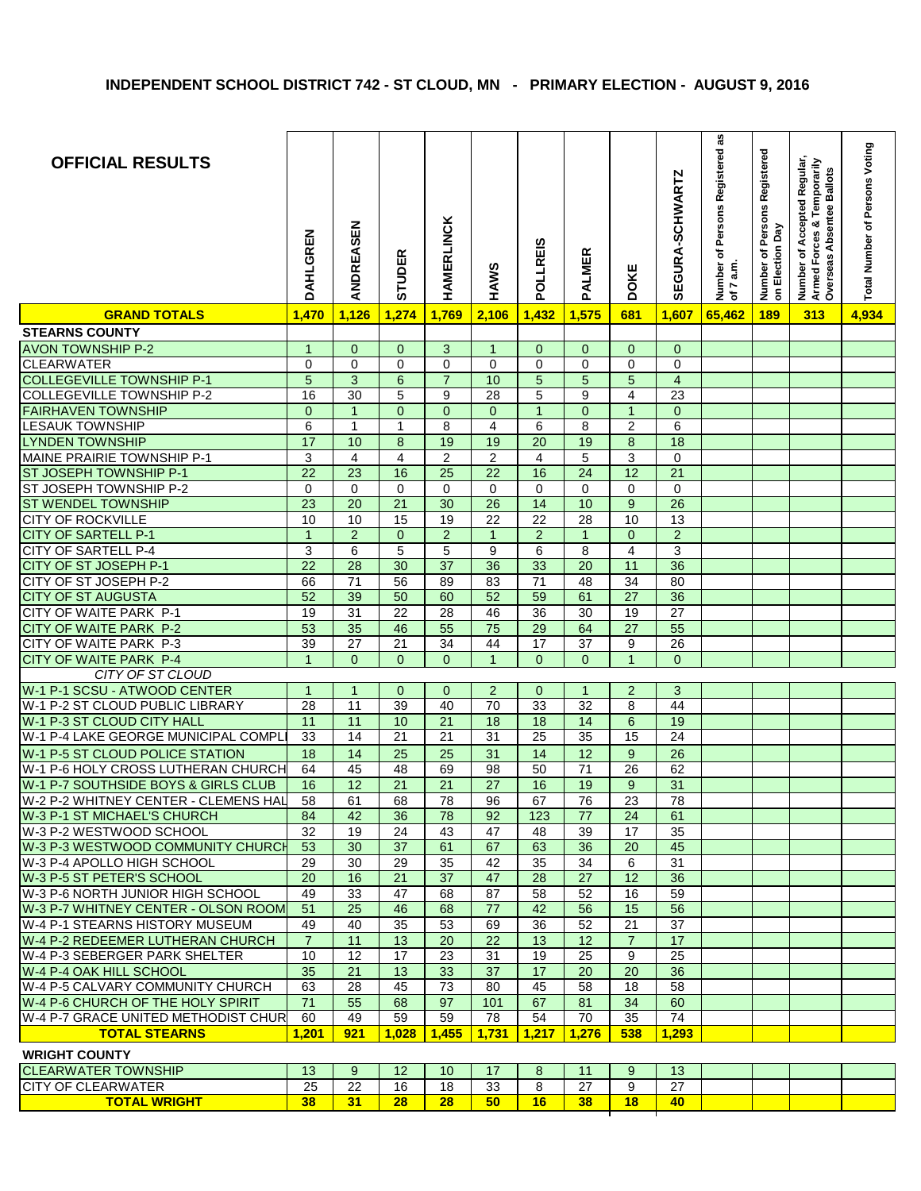| <b>OFFICIAL RESULTS</b>                                             | DAHLGREN        | ANDREASEN       | STUDER                | <b>HAMERLINCK</b>                  | HAWS                               | POLLREIS        | <b>PALMER</b>   | DOKE                    | <b>SEGURA-SCHWARTZ</b>  | Number of Persons Registered as<br>of $7$ a.m. | Number of Persons Registered<br>on Election Day | Number of Accepted Regular<br>Armed Forces & Temporarily<br>Overseas Absentee Ballots | Total Number of Persons Voting |
|---------------------------------------------------------------------|-----------------|-----------------|-----------------------|------------------------------------|------------------------------------|-----------------|-----------------|-------------------------|-------------------------|------------------------------------------------|-------------------------------------------------|---------------------------------------------------------------------------------------|--------------------------------|
| <b>GRAND TOTALS</b>                                                 | 1,470           | 1,126           | 1,274                 | 1,769                              | 2,106                              | 1,432           | 1,575           | 681                     | 1,607                   | 65,462                                         | 189                                             | 313                                                                                   | 4,934                          |
| <b>STEARNS COUNTY</b>                                               |                 |                 |                       |                                    |                                    |                 |                 |                         |                         |                                                |                                                 |                                                                                       |                                |
| <b>AVON TOWNSHIP P-2</b>                                            | $\mathbf 1$     | $\mathbf{0}$    | $\mathbf{0}$          | 3                                  | $\mathbf{1}$                       | $\mathbf 0$     | $\mathbf{0}$    | $\mathbf{0}$            | $\mathbf 0$             |                                                |                                                 |                                                                                       |                                |
| <b>CLEARWATER</b>                                                   | 0               | $\mathbf 0$     | $\mathbf 0$           | $\Omega$                           | $\Omega$                           | $\Omega$        | $\Omega$        | $\mathbf 0$             | $\mathbf 0$             |                                                |                                                 |                                                                                       |                                |
| <b>COLLEGEVILLE TOWNSHIP P-1</b>                                    | 5               | 3               | $6\phantom{1}$        | $\overline{7}$                     | 10                                 | $\sqrt{5}$      | 5               | 5                       | $\overline{\mathbf{4}}$ |                                                |                                                 |                                                                                       |                                |
| <b>COLLEGEVILLE TOWNSHIP P-2</b>                                    | 16              | 30              | 5                     | 9                                  | 28                                 | 5               | 9               | 4                       | $\overline{23}$         |                                                |                                                 |                                                                                       |                                |
| <b>FAIRHAVEN TOWNSHIP</b>                                           | $\mathbf{0}$    | $\overline{1}$  | $\overline{0}$        | $\overline{0}$                     | $\overline{0}$                     | $\overline{1}$  | $\overline{0}$  | $\mathbf{1}$            | $\mathbf 0$             |                                                |                                                 |                                                                                       |                                |
| <b>LESAUK TOWNSHIP</b>                                              | 6               | $\mathbf{1}$    | $\mathbf{1}$          | 8                                  | $\overline{\mathbf{4}}$            | 6               | $\bf 8$         | $\overline{2}$          | $\overline{6}$          |                                                |                                                 |                                                                                       |                                |
| <b>LYNDEN TOWNSHIP</b>                                              | 17              | 10              | $\bf 8$               | 19                                 | 19                                 | $\overline{20}$ | 19              | $\bf8$                  | $\overline{18}$         |                                                |                                                 |                                                                                       |                                |
| MAINE PRAIRIE TOWNSHIP P-1                                          | 3               | 4               | $\overline{4}$        | $\overline{2}$                     | $\overline{c}$                     | $\overline{4}$  | 5               | 3                       | $\pmb{0}$               |                                                |                                                 |                                                                                       |                                |
| ST JOSEPH TOWNSHIP P-1                                              | $\overline{22}$ | $\overline{23}$ | 16                    | $\overline{25}$                    | $\overline{22}$                    | 16              | $\overline{24}$ | 12                      | $\overline{21}$         |                                                |                                                 |                                                                                       |                                |
| ST JOSEPH TOWNSHIP P-2                                              | 0               | $\mathbf 0$     | $\pmb{0}$             | $\pmb{0}$                          | $\pmb{0}$                          | 0               | $\pmb{0}$       | 0                       | $\pmb{0}$               |                                                |                                                 |                                                                                       |                                |
| <b>ST WENDEL TOWNSHIP</b>                                           | 23              | 20              | 21                    | 30                                 | 26                                 | 14              | 10              | 9                       | 26                      |                                                |                                                 |                                                                                       |                                |
| <b>CITY OF ROCKVILLE</b>                                            | 10              | 10              | 15                    | $\overline{19}$                    | $\overline{22}$                    | $\overline{22}$ | 28              | 10                      | 13                      |                                                |                                                 |                                                                                       |                                |
| <b>CITY OF SARTELL P-1</b>                                          | $\mathbf{1}$    | $\overline{c}$  | $\mathbf 0$           | $\sqrt{2}$                         | $\mathbf{1}$                       | $\sqrt{2}$      | $\mathbf{1}$    | $\mathbf 0$             | $\overline{2}$          |                                                |                                                 |                                                                                       |                                |
| OF SARTELL P-4<br><b>CITY</b>                                       | 3               | $\,6$           | $\overline{5}$        | $\overline{5}$                     | $\overline{9}$                     | 6               | 8               | $\overline{\mathbf{4}}$ | 3                       |                                                |                                                 |                                                                                       |                                |
| CITY OF ST JOSEPH P-1                                               | $\overline{22}$ | $\overline{28}$ | 30                    | $\overline{37}$                    | 36                                 | 33              | $\overline{20}$ | 11                      | 36                      |                                                |                                                 |                                                                                       |                                |
| CITY OF ST JOSEPH P-2                                               | 66              | $\overline{71}$ | 56                    | 89                                 | 83                                 | $\overline{71}$ | $\overline{48}$ | $\overline{34}$         | 80                      |                                                |                                                 |                                                                                       |                                |
| <b>CITY</b><br>OF ST AUGUSTA                                        | 52              | 39              | 50                    | 60                                 | $\overline{52}$                    | 59              | 61              | $\overline{27}$         | 36                      |                                                |                                                 |                                                                                       |                                |
| CITY OF WAITE PARK P-1                                              | 19              | $\overline{31}$ | 22                    | 28                                 | 46                                 | $\overline{36}$ | $\overline{30}$ | $\overline{19}$         | $\overline{27}$         |                                                |                                                 |                                                                                       |                                |
| CITY OF WAITE PARK P-2                                              | 53              | 35              | 46                    | 55                                 | $\overline{75}$                    | $\overline{29}$ | 64              | $\overline{27}$         | 55                      |                                                |                                                 |                                                                                       |                                |
| CITY OF WAITE PARK P-3                                              | 39              | 27              | 21                    | 34                                 | 44                                 | 17              | 37              | 9                       | 26                      |                                                |                                                 |                                                                                       |                                |
| CITY OF WAITE PARK P-4                                              | $\overline{1}$  | $\overline{0}$  | $\overline{0}$        | $\mathbf{0}$                       | $\mathbf{1}$                       | $\overline{0}$  | $\mathbf{0}$    | 1                       | $\mathbf{0}$            |                                                |                                                 |                                                                                       |                                |
| CITY OF ST CLOUD                                                    |                 |                 |                       |                                    |                                    |                 |                 |                         |                         |                                                |                                                 |                                                                                       |                                |
| W-1 P-1 SCSU - ATWOOD CENTER                                        | $\overline{1}$  | $\mathbf{1}$    | $\mathbf 0$           | $\mathbf 0$                        | $\overline{c}$                     | $\mathbf 0$     | $\mathbf{1}$    | $\overline{2}$          | 3                       |                                                |                                                 |                                                                                       |                                |
| W-1 P-2 ST CLOUD PUBLIC LIBRARY                                     | 28              | 11              | 39                    | 40                                 | $\overline{70}$                    | 33              | 32              | 8                       | 44                      |                                                |                                                 |                                                                                       |                                |
| W-1 P-3 ST CLOUD CITY HALL<br>W-1 P-4 LAKE GEORGE MUNICIPAL COMPL   | 11              | 11              | 10<br>$\overline{21}$ | $\overline{21}$<br>$\overline{21}$ | $\overline{18}$<br>$\overline{31}$ | 18              | 14              | $\,6$                   | 19<br>$\overline{24}$   |                                                |                                                 |                                                                                       |                                |
|                                                                     | 33              | 14              |                       |                                    |                                    | $\overline{25}$ | $\overline{35}$ | 15                      |                         |                                                |                                                 |                                                                                       |                                |
| W-1 P-5 ST CLOUD POLICE STATION                                     | 18              | 14              | 25                    | 25                                 | 31                                 | 14              | $\overline{12}$ | $\boldsymbol{9}$        | 26                      |                                                |                                                 |                                                                                       |                                |
| W-1 P-6 HOLY CROSS LUTHERAN CHURCH                                  | 64              | 45              | 48                    | 69                                 | $\overline{98}$                    | $\overline{50}$ | $\overline{71}$ | $\overline{26}$         | 62                      |                                                |                                                 |                                                                                       |                                |
| W-1 P-7 SOUTHSIDE BOYS & GIRLS CLUB                                 | 16              | 12              | $\overline{21}$       | $\overline{21}$                    | $\overline{27}$                    | 16              | 19              | 9                       | 31                      |                                                |                                                 |                                                                                       |                                |
| W-2 P-2 WHITNEY CENTER - CLEMENS HAL<br>W-3 P-1 ST MICHAEL'S CHURCH | 58              | 61              | 68                    | 78                                 | 96                                 | 67              | 76              | 23                      | 78                      |                                                |                                                 |                                                                                       |                                |
| W-3 P-2 WESTWOOD SCHOOL                                             | 84<br>32        | 42<br>19        | 36<br>24              | 78<br>43                           | 92<br>47                           | 123<br>48       | 77<br>39        | 24<br>17                | 61<br>35                |                                                |                                                 |                                                                                       |                                |
| W-3 P-3 WESTWOOD COMMUNITY CHURCH                                   | 53              | 30              | 37                    | 61                                 | 67                                 | 63              | 36              | 20                      | 45                      |                                                |                                                 |                                                                                       |                                |
| W-3 P-4 APOLLO HIGH SCHOOL                                          | 29              | 30              | 29                    | 35                                 | 42                                 | 35              | 34              | 6                       | 31                      |                                                |                                                 |                                                                                       |                                |
| W-3 P-5 ST PETER'S SCHOOL                                           | 20              | 16              | 21                    | 37                                 | 47                                 | 28              | 27              | 12                      | 36                      |                                                |                                                 |                                                                                       |                                |
| W-3 P-6 NORTH JUNIOR HIGH SCHOOL                                    | 49              | 33              | 47                    | 68                                 | 87                                 | 58              | 52              | 16                      | 59                      |                                                |                                                 |                                                                                       |                                |
| W-3 P-7 WHITNEY CENTER - OLSON ROOM                                 | 51              | 25              | 46                    | 68                                 | 77                                 | 42              | 56              | 15                      | 56                      |                                                |                                                 |                                                                                       |                                |
| W-4 P-1 STEARNS HISTORY MUSEUM                                      | 49              | 40              | 35                    | 53                                 | 69                                 | 36              | 52              | 21                      | 37                      |                                                |                                                 |                                                                                       |                                |
| W-4 P-2 REDEEMER LUTHERAN CHURCH                                    | $\overline{7}$  | 11              | 13                    | 20                                 | 22                                 | 13              | 12              | $\overline{7}$          | 17                      |                                                |                                                 |                                                                                       |                                |
| W-4 P-3 SEBERGER PARK SHELTER                                       | 10              | 12              | 17                    | 23                                 | 31                                 | 19              | 25              | 9                       | 25                      |                                                |                                                 |                                                                                       |                                |
| W-4 P-4 OAK HILL SCHOOL                                             | 35              | 21              | 13                    | 33                                 | 37                                 | 17              | 20              | 20                      | 36                      |                                                |                                                 |                                                                                       |                                |
| W-4 P-5 CALVARY COMMUNITY CHURCH                                    | 63              | 28              | 45                    | 73                                 | 80                                 | 45              | 58              | 18                      | 58                      |                                                |                                                 |                                                                                       |                                |
| W-4 P-6 CHURCH OF THE HOLY SPIRIT                                   | $71$            | 55              | 68                    | 97                                 | 101                                | 67              | 81              | 34                      | 60                      |                                                |                                                 |                                                                                       |                                |
| W-4 P-7 GRACE UNITED METHODIST CHUR                                 | 60              | 49              | 59                    | 59                                 | 78                                 | 54              | 70              | 35                      | 74                      |                                                |                                                 |                                                                                       |                                |
| <b>TOTAL STEARNS</b>                                                | 1,201           | 921             | 1,028                 | 1,455                              | 1,731                              | 1,217           | 1,276           | 538                     | 1,293                   |                                                |                                                 |                                                                                       |                                |
| <b>WRIGHT COUNTY</b>                                                |                 |                 |                       |                                    |                                    |                 |                 |                         |                         |                                                |                                                 |                                                                                       |                                |
|                                                                     |                 |                 |                       |                                    |                                    |                 |                 |                         |                         |                                                |                                                 |                                                                                       |                                |
| <b>CLEARWATER TOWNSHIP</b><br><b>CITY OF CLEARWATER</b>             | 13<br>25        | 9<br>22         | 12<br>16              | 10<br>18                           | 17<br>33                           | 8<br>8          | 11<br>27        | 9<br>9                  | 13<br>27                |                                                |                                                 |                                                                                       |                                |
| <b>TOTAL WRIGHT</b>                                                 | 38 <sup>2</sup> | 31              | 28                    | 28                                 | 50                                 | 16              | 38              | 18                      | 40                      |                                                |                                                 |                                                                                       |                                |
|                                                                     |                 |                 |                       |                                    |                                    |                 |                 |                         |                         |                                                |                                                 |                                                                                       |                                |